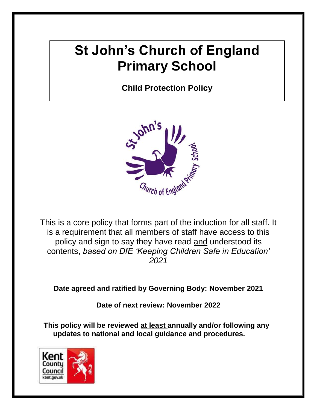# **St John's Church of England Primary School**

**Child Protection Policy**



This is a core policy that forms part of the induction for all staff. It is a requirement that all members of staff have access to this policy and sign to say they have read and understood its contents, *based on DfE 'Keeping Children Safe in Education' 2021*

**Date agreed and ratified by Governing Body: November 2021**

**Date of next review: November 2022**

**This policy will be reviewed at least annually and/or following any updates to national and local guidance and procedures.** 

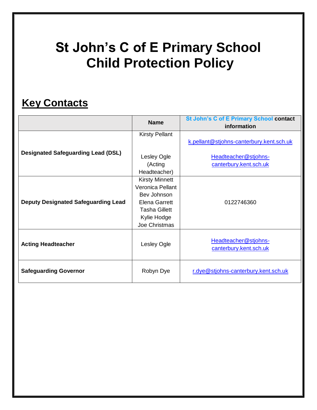# **St John's C of E Primary School Child Protection Policy**

# **Key Contacts**

|                                            | <b>Name</b>                                                                                                                              | <b>St John's C of E Primary School contact</b><br>information |
|--------------------------------------------|------------------------------------------------------------------------------------------------------------------------------------------|---------------------------------------------------------------|
|                                            | <b>Kirsty Pellant</b>                                                                                                                    | k.pellant@stjohns-canterbury.kent.sch.uk                      |
| <b>Designated Safeguarding Lead (DSL)</b>  | Lesley Ogle<br>(Acting<br>Headteacher)                                                                                                   | Headteacher@stjohns-<br>canterbury.kent.sch.uk                |
| <b>Deputy Designated Safeguarding Lead</b> | <b>Kirsty Minnett</b><br>Veronica Pellant<br>Bev Johnson<br><b>Elena Garrett</b><br><b>Tasha Gillett</b><br>Kylie Hodge<br>Joe Christmas | 0122746360                                                    |
| <b>Acting Headteacher</b>                  | Lesley Ogle                                                                                                                              | Headteacher@stjohns-<br>canterbury.kent.sch.uk                |
| <b>Safeguarding Governor</b>               | Robyn Dye                                                                                                                                | r.dye@stjohns-canterbury.kent.sch.uk                          |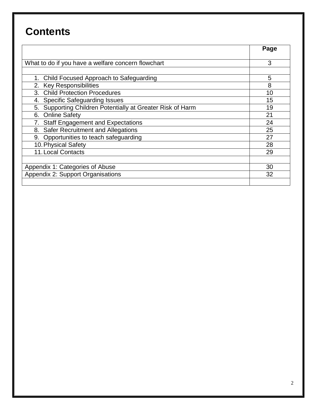# **Contents**

|                                                               | Page |
|---------------------------------------------------------------|------|
| What to do if you have a welfare concern flowchart            | 3    |
|                                                               |      |
| 1. Child Focused Approach to Safeguarding                     | 5    |
| 2. Key Responsibilities                                       | 8    |
| 3. Child Protection Procedures                                | 10   |
| <b>Specific Safeguarding Issues</b><br>4.                     | 15   |
| Supporting Children Potentially at Greater Risk of Harm<br>5. | 19   |
| 6. Online Safety                                              | 21   |
| <b>Staff Engagement and Expectations</b>                      | 24   |
| <b>Safer Recruitment and Allegations</b><br>8.                | 25   |
| Opportunities to teach safeguarding<br>9.                     | 27   |
| 10. Physical Safety                                           | 28   |
| <b>11. Local Contacts</b>                                     | 29   |
|                                                               |      |
| Appendix 1: Categories of Abuse                               | 30   |
| Appendix 2: Support Organisations                             | 32   |
|                                                               |      |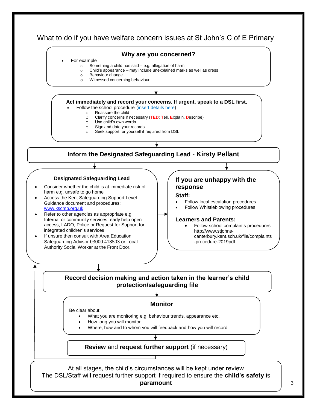

3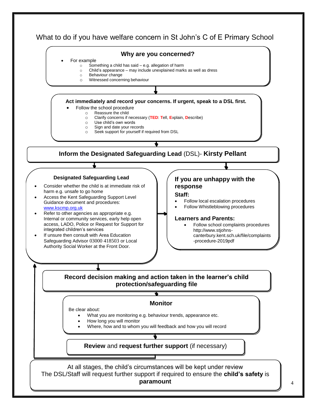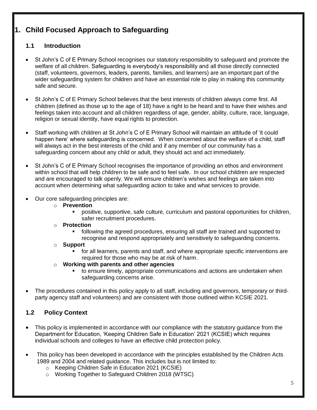# **1. Child Focused Approach to Safeguarding**

# **1.1 Introduction**

- St John's C of E Primary School recognises our statutory responsibility to safeguard and promote the welfare of all children. Safeguarding is everybody's responsibility and all those directly connected (staff, volunteers, governors, leaders, parents, families, and learners) are an important part of the wider safeguarding system for children and have an essential role to play in making this community safe and secure.
- St John's C of E Primary School believes that the best interests of children always come first. All children (defined as those up to the age of 18) have a right to be heard and to have their wishes and feelings taken into account and all children regardless of age, gender, ability, culture, race, language, religion or sexual identity, have equal rights to protection.
- Staff working with children at St John's C of E Primary School will maintain an attitude of 'it could happen here' where safeguarding is concerned. When concerned about the welfare of a child, staff will always act in the best interests of the child and if any member of our community has a safeguarding concern about any child or adult, they should act and act immediately.
- St John's C of E Primary School recognises the importance of providing an ethos and environment within school that will help children to be safe and to feel safe. In our school children are respected and are encouraged to talk openly. We will ensure children's wishes and feelings are taken into account when determining what safeguarding action to take and what services to provide.
- Our core safeguarding principles are:
	- o **Prevention**
		- positive, supportive, safe culture, curriculum and pastoral opportunities for children, safer recruitment procedures.
	- o **Protection**
		- following the agreed procedures, ensuring all staff are trained and supported to recognise and respond appropriately and sensitively to safeguarding concerns.
	- o **Support**
		- for all learners, parents and staff, and where appropriate specific interventions are required for those who may be at risk of harm.
	- o **Working with parents and other agencies**
		- to ensure timely, appropriate communications and actions are undertaken when safeguarding concerns arise.
- The procedures contained in this policy apply to all staff, including and governors, temporary or thirdparty agency staff and volunteers) and are consistent with those outlined within KCSIE 2021.

# **1.2 Policy Context**

- This policy is implemented in accordance with our compliance with the statutory guidance from the Department for Education, 'Keeping Children Safe in Education' 2021 (KCSIE) which requires individual schools and colleges to have an effective child protection policy.
- This policy has been developed in accordance with the principles established by the Children Acts 1989 and 2004 and related guidance. This includes but is not limited to:
	- o Keeping Children Safe in Education 2021 (KCSIE)
	- o Working Together to Safeguard Children 2018 (WTSC)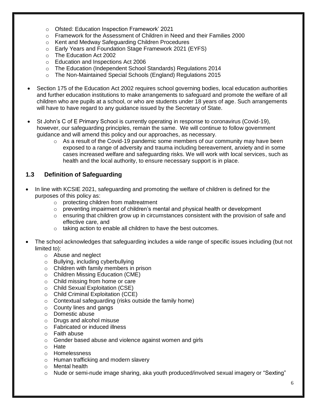- o Ofsted: Education Inspection Framework' 2021
- o Framework for the Assessment of Children in Need and their Families 2000
- o Kent and Medway Safeguarding Children Procedures
- o Early Years and Foundation Stage Framework 2021 (EYFS)
- o The Education Act 2002
- o Education and Inspections Act 2006
- o The Education (Independent School Standards) Regulations 2014
- o The Non-Maintained Special Schools (England) Regulations 2015
- Section 175 of the Education Act 2002 requires school governing bodies, local education authorities and further education institutions to make arrangements to safeguard and promote the welfare of all children who are pupils at a school, or who are students under 18 years of age. Such arrangements will have to have regard to any guidance issued by the Secretary of State.
- St John's C of E Primary School is currently operating in response to coronavirus (Covid-19), however, our safeguarding principles, remain the same. We will continue to follow government guidance and will amend this policy and our approaches, as necessary.
	- $\circ$  As a result of the Covid-19 pandemic some members of our community may have been exposed to a range of adversity and trauma including bereavement, anxiety and in some cases increased welfare and safeguarding risks. We will work with local services, such as health and the local authority, to ensure necessary support is in place.

### **1.3 Definition of Safeguarding**

- In line with KCSIE 2021, safeguarding and promoting the welfare of children is defined for the purposes of this policy as:
	- o protecting children from maltreatment
	- $\circ$  preventing impairment of children's mental and physical health or development
	- $\circ$  ensuring that children grow up in circumstances consistent with the provision of safe and effective care, and
	- o taking action to enable all children to have the best outcomes.
- The school acknowledges that safeguarding includes a wide range of specific issues including (but not limited to):
	- o Abuse and neglect
	- o Bullying, including cyberbullying
	- o Children with family members in prison
	- o Children Missing Education (CME)
	- o Child missing from home or care
	- o Child Sexual Exploitation (CSE)
	- o Child Criminal Exploitation (CCE)
	- o Contextual safeguarding (risks outside the family home)
	- o County lines and gangs
	- o Domestic abuse
	- o Drugs and alcohol misuse
	- o Fabricated or induced illness
	- o Faith abuse
	- o Gender based abuse and violence against women and girls
	- o Hate
	- o Homelessness
	- o Human trafficking and modern slavery
	- o Mental health
	- o Nude or semi-nude image sharing, aka youth produced/involved sexual imagery or "Sexting"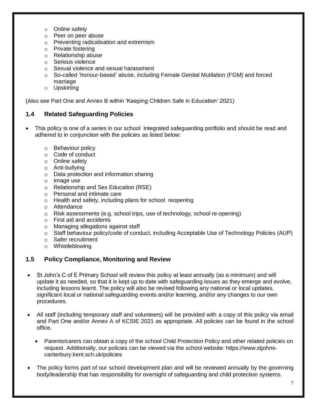- o Online safety
- o Peer on peer abuse
- o Preventing radicalisation and extremism
- o Private fostering
- o Relationship abuse
- o Serious violence
- o Sexual violence and sexual harassment
- o So-called 'honour-based' abuse, including Female Genital Mutilation (FGM) and forced marriage
- o Upskirting

(Also see Part One and Annex B within 'Keeping Children Safe in Education' 2021)

#### **1.4 Related Safeguarding Policies**

- This policy is one of a series in our school integrated safeguarding portfolio and should be read and adhered to in conjunction with the policies as listed below:
	- o Behaviour policy
	- o Code of conduct
	- o Online safety
	- o Anti-bullying
	- o Data protection and information sharing
	- o Image use
	- o Relationship and Sex Education (RSE)
	- o Personal and intimate care
	- o Health and safety, including plans for school reopening
	- o Attendance
	- o Risk assessments (e.g. school trips, use of technology, school re-opening)
	- o First aid and accidents
	- o Managing allegations against staff
	- o Staff behaviour policy/code of conduct, including Acceptable Use of Technology Policies (AUP)
	- o Safer recruitment
	- o Whistleblowing

#### **1.5 Policy Compliance, Monitoring and Review**

- St John's C of E Primary School will review this policy at least annually (as a minimum) and will update it as needed, so that it is kept up to date with safeguarding issues as they emerge and evolve, including lessons learnt. The policy will also be revised following any national or local updates, significant local or national safeguarding events and/or learning, and/or any changes to our own procedures.
- All staff (including temporary staff and volunteers) will be provided with a copy of this policy via email and Part One and/or Annex A of KCSIE 2021 as appropriate. All policies can be found in the school office.
	- Parents/carers can obtain a copy of the school Child Protection Policy and other related policies on request. Additionally, our policies can be viewed via the school website: https://www.stjohnscanterbury.kent.sch.uk/policies
- The policy forms part of our school development plan and will be reviewed annually by the governing body/leadership that has responsibility for oversight of safeguarding and child protection systems.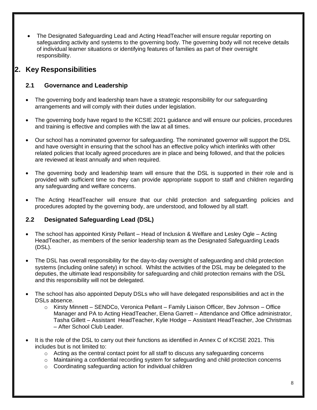The Designated Safeguarding Lead and Acting HeadTeacher will ensure regular reporting on safeguarding activity and systems to the governing body. The governing body will not receive details of individual learner situations or identifying features of families as part of their oversight responsibility.

# **2. Key Responsibilities**

# **2.1 Governance and Leadership**

- The governing body and leadership team have a strategic responsibility for our safeguarding arrangements and will comply with their duties under legislation.
- The governing body have regard to the KCSIE 2021 guidance and will ensure our policies, procedures and training is effective and complies with the law at all times.
- Our school has a nominated governor for safeguarding. The nominated governor will support the DSL and have oversight in ensuring that the school has an effective policy which interlinks with other related policies that locally agreed procedures are in place and being followed, and that the policies are reviewed at least annually and when required.
- The governing body and leadership team will ensure that the DSL is supported in their role and is provided with sufficient time so they can provide appropriate support to staff and children regarding any safeguarding and welfare concerns.
- The Acting HeadTeacher will ensure that our child protection and safeguarding policies and procedures adopted by the governing body, are understood, and followed by all staff.

# **2.2 Designated Safeguarding Lead (DSL)**

- The school has appointed Kirsty Pellant Head of Inclusion & Welfare and Lesley Ogle Acting HeadTeacher, as members of the senior leadership team as the Designated Safeguarding Leads (DSL).
- The DSL has overall responsibility for the day-to-day oversight of safeguarding and child protection systems (including online safety) in school. Whilst the activities of the DSL may be delegated to the deputies, the ultimate lead responsibility for safeguarding and child protection remains with the DSL and this responsibility will not be delegated.
- The school has also appointed Deputy DSLs who will have delegated responsibilities and act in the DSLs absence.
	- o Kirsty Minnett SENDCo, Veronica Pellant Family Liaison Officer, Bev Johnson Office Manager and PA to Acting HeadTeacher, Elena Garrett – Attendance and Office administrator, Tasha Gillett – Assistant HeadTeacher, Kylie Hodge – Assistant HeadTeacher, Joe Christmas – After School Club Leader.
- It is the role of the DSL to carry out their functions as identified in Annex C of KCISE 2021. This includes but is not limited to:
	- $\circ$  Acting as the central contact point for all staff to discuss any safeguarding concerns
	- o Maintaining a confidential recording system for safeguarding and child protection concerns
	- o Coordinating safeguarding action for individual children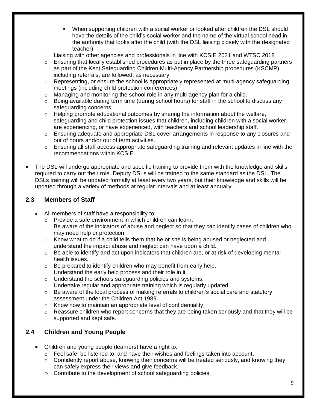- When supporting children with a social worker or looked after children the DSL should have the details of the child's social worker and the name of the virtual school head in the authority that looks after the child (with the DSL liaising closely with the designated teacher)
- $\circ$  Liaising with other agencies and professionals in line with KCSIE 2021 and WTSC 2018
- $\circ$  Ensuring that locally established procedures as put in place by the three safeguarding partners as part of the Kent Safeguarding Children Multi-Agency Partnership procedures (KSCMP), including referrals, are followed, as necessary.
- $\circ$  Representing, or ensure the school is appropriately represented at multi-agency safeguarding meetings (including child protection conferences)
- $\circ$  Managing and monitoring the school role in any multi-agency plan for a child.
- $\circ$  Being available during term time (during school hours) for staff in the school to discuss any safeguarding concerns.
- $\circ$  Helping promote educational outcomes by sharing the information about the welfare, safeguarding and child protection issues that children, including children with a social worker, are experiencing, or have experienced, with teachers and school leadership staff.
- o Ensuring adequate and appropriate DSL cover arrangements in response to any closures and out of hours and/or out of term activities.
- $\circ$  Ensuring all staff access appropriate safeguarding training and relevant updates in line with the recommendations within KCSIE.
- The DSL will undergo appropriate and specific training to provide them with the knowledge and skills required to carry out their role. Deputy DSLs will be trained to the same standard as the DSL. The DSLs training will be updated formally at least every two years, but their knowledge and skills will be updated through a variety of methods at regular intervals and at least annually.

## **2.3 Members of Staff**

- All members of staff have a responsibility to:
	- o Provide a safe environment in which children can learn.
	- $\circ$  Be aware of the indicators of abuse and neglect so that they can identify cases of children who may need help or protection.
	- $\circ$  Know what to do if a child tells them that he or she is being abused or neglected and understand the impact abuse and neglect can have upon a child.
	- $\circ$  Be able to identify and act upon indicators that children are, or at risk of developing mental health issues.
	- o Be prepared to identify children who may benefit from early help.
	- o Understand the early help process and their role in it.
	- o Understand the schools safeguarding policies and systems.
	- o Undertake regular and appropriate training which is regularly updated.
	- $\circ$  Be aware of the local process of making referrals to children's social care and statutory assessment under the Children Act 1989.
	- o Know how to maintain an appropriate level of confidentiality.
	- $\circ$  Reassure children who report concerns that they are being taken seriously and that they will be supported and kept safe.

# **2.4 Children and Young People**

- Children and young people (learners) have a right to:
	- $\circ$  Feel safe, be listened to, and have their wishes and feelings taken into account.
	- $\circ$  Confidently report abuse, knowing their concerns will be treated seriously, and knowing they can safely express their views and give feedback.
	- o Contribute to the development of school safeguarding policies.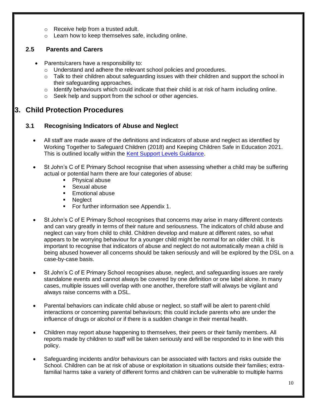- o Receive help from a trusted adult.
- o Learn how to keep themselves safe, including online.

# **2.5 Parents and Carers**

- Parents/carers have a responsibility to:
	- o Understand and adhere the relevant school policies and procedures.
	- $\circ$  Talk to their children about safeguarding issues with their children and support the school in their safeguarding approaches.
	- $\circ$  Identify behaviours which could indicate that their child is at risk of harm including online.
	- o Seek help and support from the school or other agencies.

# **3. Child Protection Procedures**

## **3.1 Recognising Indicators of Abuse and Neglect**

- All staff are made aware of the definitions and indicators of abuse and neglect as identified by Working Together to Safeguard Children (2018) and Keeping Children Safe in Education 2021. This is outlined locally within the [Kent Support Levels Guidance.](https://www.kscmp.org.uk/guidance/kent-support-levels-guidance)
- St John's C of E Primary School recognise that when assessing whether a child may be suffering actual or potential harm there are four categories of abuse:
	- Physical abuse
	- **Sexual abuse**
	- **Emotional abuse**
	- **Neglect**
	- For further information see Appendix 1.
- St John's C of E Primary School recognises that concerns may arise in many different contexts and can vary greatly in terms of their nature and seriousness. The indicators of child abuse and neglect can vary from child to child. Children develop and mature at different rates, so what appears to be worrying behaviour for a younger child might be normal for an older child. It is important to recognise that indicators of abuse and neglect do not automatically mean a child is being abused however all concerns should be taken seriously and will be explored by the DSL on a case-by-case basis.
- St John's C of E Primary School recognises abuse, neglect, and safeguarding issues are rarely standalone events and cannot always be covered by one definition or one label alone. In many cases, multiple issues will overlap with one another, therefore staff will always be vigilant and always raise concerns with a DSL.
- Parental behaviors can indicate child abuse or neglect, so staff will be alert to parent-child interactions or concerning parental behaviours; this could include parents who are under the influence of drugs or alcohol or if there is a sudden change in their mental health.
- Children may report abuse happening to themselves, their peers or their family members. All reports made by children to staff will be taken seriously and will be responded to in line with this policy.
- Safeguarding incidents and/or behaviours can be associated with factors and risks outside the School. Children can be at risk of abuse or exploitation in situations outside their families; extrafamilial harms take a variety of different forms and children can be vulnerable to multiple harms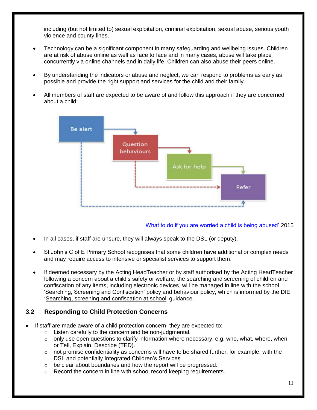including (but not limited to) sexual exploitation, criminal exploitation, sexual abuse, serious youth violence and county lines.

- Technology can be a significant component in many safeguarding and wellbeing issues. Children are at risk of abuse online as well as face to face and in many cases, abuse will take place concurrently via online channels and in daily life. Children can also abuse their peers online.
- By understanding the indicators or abuse and neglect, we can respond to problems as early as possible and provide the right support and services for the child and their family.
- All members of staff are expected to be aware of and follow this approach if they are concerned about a child:

![](_page_11_Figure_4.jpeg)

['What to do if you are worried a child is being abused'](https://www.gov.uk/government/publications/what-to-do-if-youre-worried-a-child-is-being-abused--2) 2015

- In all cases, if staff are unsure, they will always speak to the DSL (or deputy).
- St John's C of E Primary School recognises that some children have additional or complex needs and may require access to intensive or specialist services to support them.
- If deemed necessary by the Acting HeadTeacher or by staff authorised by the Acting HeadTeacher following a concern about a child's safety or welfare, the searching and screening of children and confiscation of any items, including electronic devices, will be managed in line with the school 'Searching, Screening and Confiscation' policy and behaviour policy, which is informed by the DfE '[Searching, screening and confiscation at school'](https://www.gov.uk/government/publications/searching-screening-and-confiscation) guidance.

## **3.2 Responding to Child Protection Concerns**

- If staff are made aware of a child protection concern, they are expected to:
	- o Listen carefully to the concern and be non-judgmental.
	- o only use open questions to clarify information where necessary, e.g. who, what, where, when or Tell, Explain, Describe (TED).
	- $\circ$  not promise confidentiality as concerns will have to be shared further, for example, with the DSL and potentially Integrated Children's Services.
	- o be clear about boundaries and how the report will be progressed.
	- $\circ$  Record the concern in line with school record keeping requirements.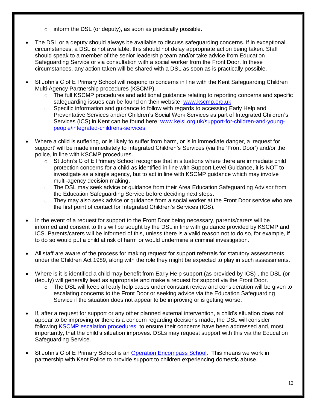- $\circ$  inform the DSL (or deputy), as soon as practically possible.
- The DSL or a deputy should always be available to discuss safeguarding concerns. If in exceptional circumstances, a DSL is not available, this should not delay appropriate action being taken. Staff should speak to a member of the senior leadership team and/or take advice from Education Safeguarding Service or via consultation with a social worker from the Front Door. In these circumstances, any action taken will be shared with a DSL as soon as is practically possible.
- St John's C of E Primary School will respond to concerns in line with the Kent Safeguarding Children Multi-Agency Partnership procedures (KSCMP).
	- $\circ$  The full KSCMP procedures and additional guidance relating to reporting concerns and specific safeguarding issues can be found on their website: [www.kscmp.org.uk](http://www.kscmp.org.uk/)
	- o Specific information and guidance to follow with regards to accessing Early Help and Preventative Services and/or Children's Social Work Services as part of Integrated Children's Services (ICS) in Kent can be found here: [www.kelsi.org.uk/support-for-children-and-young](http://www.kelsi.org.uk/support-for-children-and-young-people/integrated-childrens-services)[people/integrated-childrens-services](http://www.kelsi.org.uk/support-for-children-and-young-people/integrated-childrens-services)
- Where a child is suffering, or is likely to suffer from harm, or is in immediate danger, a 'request for support' will be made immediately to Integrated Children's Services (via the 'Front Door') and/or the police, in line with KSCMP procedures.
	- $\circ$  St John's C of E Primary School recognise that in situations where there are immediate child protection concerns for a child as identified in line with Support Level Guidance, it is NOT to investigate as a single agency, but to act in line with KSCMP guidance which may involve multi-agency decision making**.**
	- o The DSL may seek advice or guidance from their Area Education Safeguarding Advisor from the Education Safeguarding Service before deciding next steps.
	- $\circ$  They may also seek advice or quidance from a social worker at the Front Door service who are the first point of contact for Integrated Children's Services (ICS).
- In the event of a request for support to the Front Door being necessary, parents/carers will be informed and consent to this will be sought by the DSL in line with guidance provided by KSCMP and ICS. Parents/carers will be informed of this, unless there is a valid reason not to do so, for example, if to do so would put a child at risk of harm or would undermine a criminal investigation.
- All staff are aware of the process for making request for support referrals for statutory assessments under the Children Act 1989, along with the role they might be expected to play in such assessments.
- Where is it is identified a child may benefit from Early Help support (as provided by ICS) , the DSL (or deputy) will generally lead as appropriate and make a request for support via the Front Door.
	- $\circ$  The DSL will keep all early help cases under constant review and consideration will be given to escalating concerns to the Front Door or seeking advice via the Education Safeguarding Service if the situation does not appear to be improving or is getting worse.
- If, after a request for support or any other planned external intervention, a child's situation does not appear to be improving or there is a concern regarding decisions made, the DSL will consider following [KSCMP escalation procedures](https://www.proceduresonline.com/kentandmedway/chapters/p_resolution.html) to ensure their concerns have been addressed and, most importantly, that the child's situation improves. DSLs may request support with this via the Education Safeguarding Service.
- St John's C of E Primary School is an [Operation Encompass School.](https://www.operationencompass.org/) This means we work in partnership with Kent Police to provide support to children experiencing domestic abuse.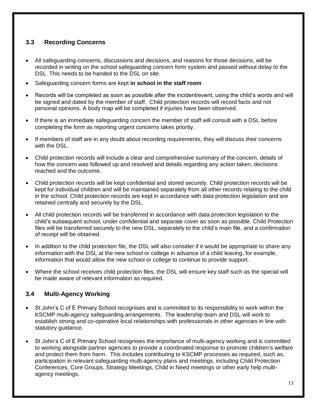# **3.3 Recording Concerns**

- All safeguarding concerns, discussions and decisions, and reasons for those decisions, will be recorded in writing on the school safeguarding concern form system and passed without delay to the DSL. This needs to be handed to the DSL on site.
- Safeguarding concern forms are kept **in school in the staff room**
- Records will be completed as soon as possible after the incident/event, using the child's words and will be signed and dated by the member of staff. Child protection records will record facts and not personal opinions. A body map will be completed if injuries have been observed.
- If there is an immediate safeguarding concern the member of staff will consult with a DSL before completing the form as reporting urgent concerns takes priority.
- If members of staff are in any doubt about recording requirements, they will discuss their concerns with the DSL.
- Child protection records will include a clear and comprehensive summary of the concern, details of how the concern was followed up and resolved and details regarding any action taken, decisions reached and the outcome.
- Child protection records will be kept confidential and stored securely. Child protection records will be kept for individual children and will be maintained separately from all other records relating to the child in the school. Child protection records are kept in accordance with data protection legislation and are retained centrally and securely by the DSL.
- All child protection records will be transferred in accordance with data protection legislation to the child's subsequent school, under confidential and separate cover as soon as possible. Child Protection files will be transferred securely to the new DSL, separately to the child's main file, and a confirmation of receipt will be obtained.
- In addition to the child protection file, the DSL will also consider if it would be appropriate to share any information with the DSL at the new school or college in advance of a child leaving, for example, information that would allow the new school or college to continue to provide support.
- Where the school receives child protection files, the DSL will ensure key staff such as the special will be made aware of relevant information as required.

## **3.4 Multi-Agency Working**

- St John's C of E Primary School recognises and is committed to its responsibility to work within the KSCMP multi-agency safeguarding arrangements. The leadership team and DSL will work to establish strong and co-operative local relationships with professionals in other agencies in line with statutory guidance.
- St John's C of E Primary School recognises the importance of multi-agency working and is committed to working alongside partner agencies to provide a coordinated response to promote children's welfare and protect them from harm. This includes contributing to KSCMP processes as required, such as, participation in relevant safeguarding multi-agency plans and meetings, including Child Protection Conferences, Core Groups, Strategy Meetings, Child in Need meetings or other early help multiagency meetings.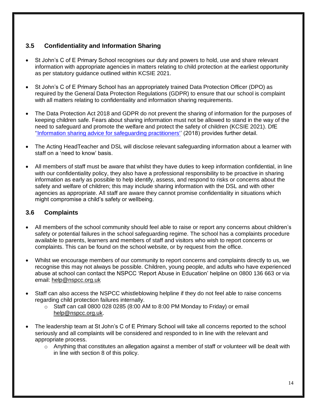# **3.5 Confidentiality and Information Sharing**

- St John's C of E Primary School recognises our duty and powers to hold, use and share relevant information with appropriate agencies in matters relating to child protection at the earliest opportunity as per statutory guidance outlined within KCSIE 2021.
- St John's C of E Primary School has an appropriately trained Data Protection Officer (DPO) as required by the General Data Protection Regulations (GDPR) to ensure that our school is complaint with all matters relating to confidentiality and information sharing requirements.
- The Data Protection Act 2018 and GDPR do not prevent the sharing of information for the purposes of keeping children safe. Fears about sharing information must not be allowed to stand in the way of the need to safeguard and promote the welfare and protect the safety of children (KCSIE 2021). DfE [''Information sharing advice for safeguarding practitioners''](https://www.gov.uk/government/publications/safeguarding-practitioners-information-sharing-advice) (2018) provides further detail.
- The Acting HeadTeacher and DSL will disclose relevant safeguarding information about a learner with staff on a 'need to know' basis.
- All members of staff must be aware that whilst they have duties to keep information confidential, in line with our confidentiality policy, they also have a professional responsibility to be proactive in sharing information as early as possible to help identify, assess, and respond to risks or concerns about the safety and welfare of children; this may include sharing information with the DSL and with other agencies as appropriate. All staff are aware they cannot promise confidentiality in situations which might compromise a child's safety or wellbeing.

# **3.6 Complaints**

- All members of the school community should feel able to raise or report any concerns about children's safety or potential failures in the school safeguarding regime. The school has a complaints procedure available to parents, learners and members of staff and visitors who wish to report concerns or complaints. This can be found on the school website, or by request from the office.
- Whilst we encourage members of our community to report concerns and complaints directly to us, we recognise this may not always be possible. Children, young people, and adults who have experienced abuse at school can contact the NSPCC 'Report Abuse in Education' helpline on [0800 136 663](tel:0800%20136%20663) or via email: [help@nspcc.org.uk](mailto:help@nspcc.org.uk)
- Staff can also access the NSPCC whistleblowing helpline if they do not feel able to raise concerns regarding child protection failures internally.
	- $\circ$  Staff can call 0800 028 0285 (8:00 AM to 8:00 PM Monday to Friday) or email [help@nspcc.org.uk.](mailto:help@nspcc.org.uk)
- The leadership team at St John's C of E Primary School will take all concerns reported to the school seriously and all complaints will be considered and responded to in line with the relevant and appropriate process.
	- o Anything that constitutes an allegation against a member of staff or volunteer will be dealt with in line with section 8 of this policy.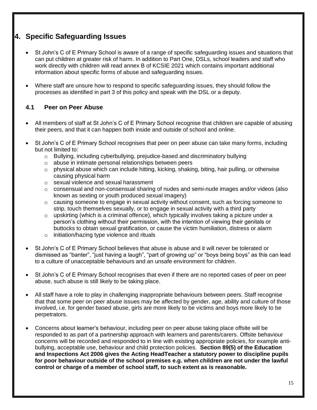# **4. Specific Safeguarding Issues**

- St John's C of E Primary School is aware of a range of specific safeguarding issues and situations that can put children at greater risk of harm. In addition to Part One, DSLs, school leaders and staff who work directly with children will read annex B of KCSIE 2021 which contains important additional information about specific forms of abuse and safeguarding issues.
- Where staff are unsure how to respond to specific safeguarding issues, they should follow the processes as identified in part 3 of this policy and speak with the DSL or a deputy.

## **4.1 Peer on Peer Abuse**

- All members of staff at St John's C of E Primary School recognise that children are capable of abusing their peers, and that it can happen both inside and outside of school and online.
- St John's C of E Primary School recognises that peer on peer abuse can take many forms, including but not limited to:
	- o Bullying, including cyberbullying, prejudice-based and discriminatory bullying
	- o abuse in intimate personal relationships between peers
	- $\circ$  physical abuse which can include hitting, kicking, shaking, biting, hair pulling, or otherwise causing physical harm
	- o sexual violence and sexual harassment
	- $\circ$  consensual and non-consensual sharing of nudes and semi-nude images and/or videos (also known as sexting or youth produced sexual imagery)
	- $\circ$  causing someone to engage in sexual activity without consent, such as forcing someone to strip, touch themselves sexually, or to engage in sexual activity with a third party
	- $\circ$  upskirting (which is a criminal offence), which typically involves taking a picture under a person's clothing without their permission, with the intention of viewing their genitals or buttocks to obtain sexual gratification, or cause the victim humiliation, distress or alarm
	- o initiation/hazing type violence and rituals
- St John's C of E Primary School believes that abuse is abuse and it will never be tolerated or dismissed as "banter", "just having a laugh", "part of growing up" or "boys being boys" as this can lead to a culture of unacceptable behaviours and an unsafe environment for children.
- St John's C of E Primary School recognises that even if there are no reported cases of peer on peer abuse, such abuse is still likely to be taking place.
- All staff have a role to play in challenging inappropriate behaviours between peers. Staff recognise that that some peer on peer abuse issues may be affected by gender, age, ability and culture of those involved, i.e. for gender based abuse, girls are more likely to be victims and boys more likely to be perpetrators.
- Concerns about learner's behaviour, including peer on peer abuse taking place offsite will be responded to as part of a partnership approach with learners and parents/carers. Offsite behaviour concerns will be recorded and responded to in line with existing appropriate policies, for example antibullying, acceptable use, behaviour and child protection policies. **Section 89(5) of the Education and Inspections Act 2006 gives the Acting HeadTeacher a statutory power to discipline pupils for poor behaviour outside of the school premises e.g. when children are not under the lawful control or charge of a member of school staff, to such extent as is reasonable.**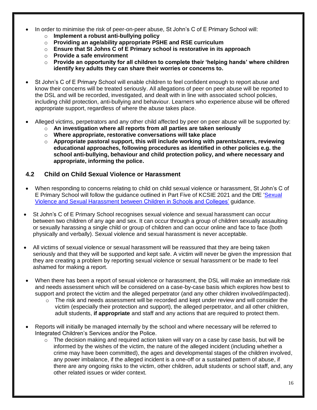- In order to minimise the risk of peer-on-peer abuse, St John's C of E Primary School will:
	- o **Implement a robust anti-bullying policy**
	- o **Providing an age/ability appropriate PSHE and RSE curriculum**
	- o **Ensure that St Johns C of E Primary school is restorative in its approach**
	- o **Provide a safe environment**
	- o **Provide an opportunity for all children to complete their 'helping hands' where children identify key adults they can share their worries or concerns to.**
- St John's C of E Primary School will enable children to feel confident enough to report abuse and know their concerns will be treated seriously. All allegations of peer on peer abuse will be reported to the DSL and will be recorded, investigated, and dealt with in line with associated school policies, including child protection, anti-bullying and behaviour. Learners who experience abuse will be offered appropriate support, regardless of where the abuse takes place.
- Alleged victims, perpetrators and any other child affected by peer on peer abuse will be supported by:
	- o **An investigation where all reports from all parties are taken seriously**
	- o **Where appropriate, restorative conversations will take place**
	- o **Appropriate pastoral support, this will include working with parents/carers, reviewing educational approaches, following procedures as identified in other policies e.g. the school anti-bullying, behaviour and child protection policy, and where necessary and appropriate, informing the police.**

#### **4.2 Child on Child Sexual Violence or Harassment**

- When responding to concerns relating to child on child sexual violence or harassment, St John's C of E Primary School will follow the guidance outlined in Part Five of KCSIE 2021 and the DfE ['Sexual](https://www.gov.uk/government/publications/sexual-violence-and-sexual-harassment-between-children-in-schools-and-colleges)  [Violence and Sexual Harassment between](https://www.gov.uk/government/publications/sexual-violence-and-sexual-harassment-between-children-in-schools-and-colleges) Children in Schools and Colleges' guidance.
- St John's C of E Primary School recognises sexual violence and sexual harassment can occur between two children of any age and sex. It can occur through a group of children sexually assaulting or sexually harassing a single child or group of children and can occur online and face to face (both physically and verbally). Sexual violence and sexual harassment is never acceptable.
- All victims of sexual violence or sexual harassment will be reassured that they are being taken seriously and that they will be supported and kept safe. A victim will never be given the impression that they are creating a problem by reporting sexual violence or sexual harassment or be made to feel ashamed for making a report.
- When there has been a report of sexual violence or harassment, the DSL will make an immediate risk and needs assessment which will be considered on a case-by-case basis which explores how best to support and protect the victim and the alleged perpetrator (and any other children involved/impacted).
	- $\circ$  The risk and needs assessment will be recorded and kept under review and will consider the victim (especially their protection and support), the alleged perpetrator, and all other children, adult students, **if appropriate** and staff and any actions that are required to protect them.
- Reports will initially be managed internally by the school and where necessary will be referred to Integrated Children's Services and/or the Police.
	- $\circ$  The decision making and required action taken will vary on a case by case basis, but will be informed by the wishes of the victim, the nature of the alleged incident (including whether a crime may have been committed), the ages and developmental stages of the children involved, any power imbalance, if the alleged incident is a one-off or a sustained pattern of abuse, if there are any ongoing risks to the victim, other children, adult students or school staff, and, any other related issues or wider context.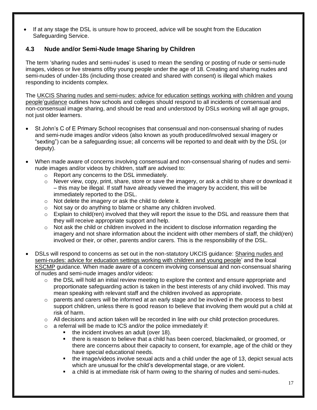If at any stage the DSL is unsure how to proceed, advice will be sought from the Education Safeguarding Service.

# **4.3 Nude and/or Semi-Nude Image Sharing by Children**

The term 'sharing nudes and semi-nudes' is used to mean the sending or posting of nude or semi-nude images, videos or live streams of/by young people under the age of 18. Creating and sharing nudes and semi-nudes of under-18s (including those created and shared with consent) is illegal which makes responding to incidents complex.

The UKCIS [Sharing nudes and semi-nudes: advice for education settings working with children and young](https://www.gov.uk/government/publications/sharing-nudes-and-semi-nudes-advice-for-education-settings-working-with-children-and-young-people)  [people'](https://www.gov.uk/government/publications/sharing-nudes-and-semi-nudes-advice-for-education-settings-working-with-children-and-young-people)guidance outlines how schools and colleges should respond to all incidents of consensual and non-consensual image sharing, and should be read and understood by DSLs working will all age groups, not just older learners.

- St John's C of E Primary School recognises that consensual and non-consensual sharing of nudes and semi-nude images and/or videos (also known as youth produced/involved sexual imagery or "sexting") can be a safeguarding issue; all concerns will be reported to and dealt with by the DSL (or deputy).
- When made aware of concerns involving consensual and non-consensual sharing of nudes and seminude images and/or videos by children, staff are advised to:
	- o Report any concerns to the DSL immediately.
	- $\circ$  Never view, copy, print, share, store or save the imagery, or ask a child to share or download it – this may be illegal. If staff have already viewed the imagery by accident, this will be immediately reported to the DSL.
	- o Not delete the imagery or ask the child to delete it.
	- o Not say or do anything to blame or shame any children involved.
	- $\circ$  Explain to child(ren) involved that they will report the issue to the DSL and reassure them that they will receive appropriate support and help.
	- $\circ$  Not ask the child or children involved in the incident to disclose information regarding the imagery and not share information about the incident with other members of staff, the child(ren) involved or their, or other, parents and/or carers. This is the responsibility of the DSL.
- DSLs will respond to concerns as set out in the non-statutory UKCIS guidance: [Sharing nudes and](https://www.gov.uk/government/publications/sharing-nudes-and-semi-nudes-advice-for-education-settings-working-with-children-and-young-people)  [semi-nudes: advice for education settings working with children and young people'](https://www.gov.uk/government/publications/sharing-nudes-and-semi-nudes-advice-for-education-settings-working-with-children-and-young-people) and the local [KSCMP](http://www.kscb.org.uk/guidance/online-safety) guidance. When made aware of a concern involving consensual and non-consensual sharing of nudes and semi-nude images and/or videos:
	- $\circ$  the DSL will hold an initial review meeting to explore the context and ensure appropriate and proportionate safeguarding action is taken in the best interests of any child involved. This may mean speaking with relevant staff and the children involved as appropriate.
	- o parents and carers will be informed at an early stage and be involved in the process to best support children, unless there is good reason to believe that involving them would put a child at risk of harm.
	- $\circ$  All decisions and action taken will be recorded in line with our child protection procedures.
	- $\circ$  a referral will be made to ICS and/or the police immediately if:
		- the incident involves an adult (over 18).
		- there is reason to believe that a child has been coerced, blackmailed, or groomed, or there are concerns about their capacity to consent, for example, age of the child or they have special educational needs.
		- the image/videos involve sexual acts and a child under the age of 13, depict sexual acts which are unusual for the child's developmental stage, or are violent.
		- a child is at immediate risk of harm owing to the sharing of nudes and semi-nudes.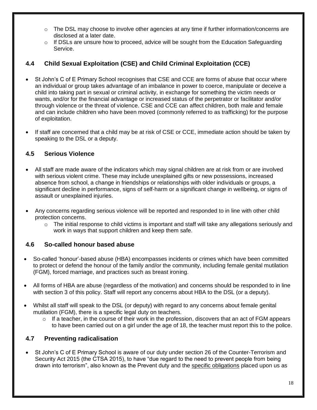- $\circ$  The DSL may choose to involve other agencies at any time if further information/concerns are disclosed at a later date.
- $\circ$  If DSLs are unsure how to proceed, advice will be sought from the Education Safeguarding Service.

# **4.4 Child Sexual Exploitation (CSE) and Child Criminal Exploitation (CCE)**

- St John's C of E Primary School recognises that CSE and CCE are forms of abuse that occur where an individual or group takes advantage of an imbalance in power to coerce, manipulate or deceive a child into taking part in sexual or criminal activity, in exchange for something the victim needs or wants, and/or for the financial advantage or increased status of the perpetrator or facilitator and/or through violence or the threat of violence. CSE and CCE can affect children, both male and female and can include children who have been moved (commonly referred to as trafficking) for the purpose of exploitation.
- If staff are concerned that a child may be at risk of CSE or CCE, immediate action should be taken by speaking to the DSL or a deputy.

## **4.5 Serious Violence**

- All staff are made aware of the indicators which may signal children are at risk from or are involved with serious violent crime. These may include unexplained gifts or new possessions, increased absence from school, a change in friendships or relationships with older individuals or groups, a significant decline in performance, signs of self-harm or a significant change in wellbeing, or signs of assault or unexplained injuries.
- Any concerns regarding serious violence will be reported and responded to in line with other child protection concerns.
	- $\circ$  The initial response to child victims is important and staff will take any allegations seriously and work in ways that support children and keep them safe.

## **4.6 So-called honour based abuse**

- So-called 'honour'-based abuse (HBA) encompasses incidents or crimes which have been committed to protect or defend the honour of the family and/or the community, including female genital mutilation (FGM), forced marriage, and practices such as breast ironing.
- All forms of HBA are abuse (regardless of the motivation) and concerns should be responded to in line with section 3 of this policy. Staff will report any concerns about HBA to the DSL (or a deputy).
- Whilst all staff will speak to the DSL (or deputy) with regard to any concerns about female genital mutilation (FGM), there is a specific legal duty on teachers.
	- o If a teacher, in the course of their work in the profession, discovers that an act of FGM appears to have been carried out on a girl under the age of 18, the teacher must report this to the police.

#### **4.7 Preventing radicalisation**

 St John's C of E Primary School is aware of our duty under section 26 of the Counter-Terrorism and Security Act 2015 (the CTSA 2015), to have "due regard to the need to prevent people from being drawn into terrorism", also known as the Prevent duty and the [specific obligations](https://www.gov.uk/government/publications/prevent-duty-guidance/prevent-duty-guidance-for-further-education-institutions-in-england-and-wales) placed upon us as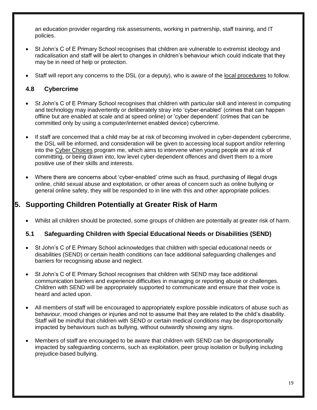an education provider regarding risk assessments, working in partnership, staff training, and IT policies.

- St John's C of E Primary School recognises that children are vulnerable to extremist ideology and radicalisation and staff will be alert to changes in children's behaviour which could indicate that they may be in need of help or protection.
- Staff will report any concerns to the DSL (or a deputy), who is aware of the [local procedures](https://www.kelsi.org.uk/child-protection-and-safeguarding/prevent-within-schools) to follow.

## **4.8 Cybercrime**

- St John's C of E Primary School recognises that children with particular skill and interest in computing and technology may inadvertently or deliberately stray into 'cyber-enabled' (crimes that can happen offline but are enabled at scale and at speed online) or 'cyber dependent' (crimes that can be committed only by using a computer/internet enabled device) cybercrime.
- If staff are concerned that a child may be at risk of becoming involved in cyber-dependent cybercrime, the DSL will be informed, and consideration will be given to accessing local support and/or referring into the [Cyber Choices](http://www.cyberchoices.uk/) program me, which aims to intervene when young people are at risk of committing, or being drawn into, low level cyber-dependent offences and divert them to a more positive use of their skills and interests.
- Where there are concerns about 'cyber-enabled' crime such as fraud, purchasing of illegal drugs online, child sexual abuse and exploitation, or other areas of concern such as online bullying or general online safety, they will be responded to in line with this and other appropriate policies.

# **5. Supporting Children Potentially at Greater Risk of Harm**

Whilst all children should be protected, some groups of children are potentially at greater risk of harm.

## **5.1 Safeguarding Children with Special Educational Needs or Disabilities (SEND)**

- St John's C of E Primary School acknowledges that children with special educational needs or disabilities (SEND) or certain health conditions can face additional safeguarding challenges and barriers for recognising abuse and neglect.
- St John's C of E Primary School recognises that children with SEND may face additional communication barriers and experience difficulties in managing or reporting abuse or challenges. Children with SEND will be appropriately supported to communicate and ensure that their voice is heard and acted upon.
- All members of staff will be encouraged to appropriately explore possible indicators of abuse such as behaviour, mood changes or injuries and not to assume that they are related to the child's disability. Staff will be mindful that children with SEND or certain medical conditions may be disproportionally impacted by behaviours such as bullying, without outwardly showing any signs.
- Members of staff are encouraged to be aware that children with SEND can be disproportionally impacted by safeguarding concerns, such as exploitation, peer group isolation or bullying including prejudice-based bullying.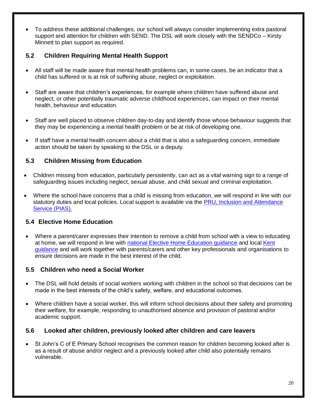To address these additional challenges, our school will always consider implementing extra pastoral support and attention for children with SEND. The DSL will work closely with the SENDCo – Kirsty Minnett to plan support as required.

# **5.2 Children Requiring Mental Health Support**

- All staff will be made aware that mental health problems can, in some cases, be an indicator that a child has suffered or is at risk of suffering abuse, neglect or exploitation.
- Staff are aware that children's experiences, for example where children have suffered abuse and neglect, or other potentially traumatic adverse childhood experiences, can impact on their mental health, behaviour and education.
- Staff are well placed to observe children day-to-day and identify those whose behaviour suggests that they may be experiencing a mental health problem or be at risk of developing one.
- If staff have a mental health concern about a child that is also a safeguarding concern, immediate action should be taken by speaking to the DSL or a deputy.

# **5.3 Children Missing from Education**

- Children missing from education, particularly persistently, can act as a vital warning sign to a range of safeguarding issues including neglect, sexual abuse, and child sexual and criminal exploitation.
- Where the school have concerns that a child is missing from education, we will respond in line with our statutory duties and local policies. Local support is available via the [PRU, Inclusion and Attendance](https://www.kelsi.org.uk/pru-inclusion-and-attendance-service-pias)  [Service \(PIAS\).](https://www.kelsi.org.uk/pru-inclusion-and-attendance-service-pias)

# **5.4 Elective Home Education**

 Where a parent/carer expresses their intention to remove a child from school with a view to educating at home, we will respond in line with [national Elective Home Education guidance](https://www.gov.uk/government/publications/elective-home-education) and local [Kent](https://www.kent.gov.uk/education-and-children/educating-your-child-at-home) [guidance](https://www.kent.gov.uk/education-and-children/educating-your-child-at-home) and will work together with parents/carers and other key professionals and organisations to ensure decisions are made in the best interest of the child.

## **5.5 Children who need a Social Worker**

- The DSL will hold details of social workers working with children in the school so that decisions can be made in the best interests of the child's safety, welfare, and educational outcomes.
- Where children have a social worker, this will inform school decisions about their safety and promoting their welfare, for example, responding to unauthorised absence and provision of pastoral and/or academic support.

## **5.6 Looked after children, previously looked after children and care leavers**

 St John's C of E Primary School recognises the common reason for children becoming looked after is as a result of abuse and/or neglect and a previously looked after child also potentially remains vulnerable.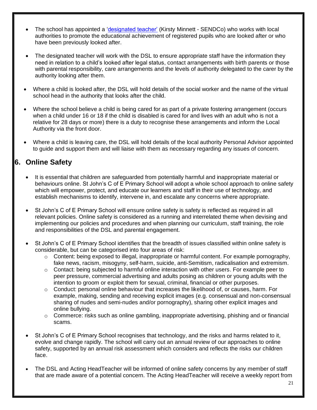- The school has appointed a ['designated teacher'](https://www.gov.uk/government/publications/designated-teacher-for-looked-after-children) (Kirsty Minnett SENDCo) who works with local authorities to promote the educational achievement of registered pupils who are looked after or who have been previously looked after.
- The designated teacher will work with the DSL to ensure appropriate staff have the information they need in relation to a child's looked after legal status, contact arrangements with birth parents or those with parental responsibility, care arrangements and the levels of authority delegated to the carer by the authority looking after them.
- Where a child is looked after, the DSL will hold details of the social worker and the name of the virtual school head in the authority that looks after the child.
- Where the school believe a child is being cared for as part of a private fostering arrangement (occurs when a child under 16 or 18 if the child is disabled is cared for and lives with an adult who is not a relative for 28 days or more) there is a duty to recognise these arrangements and inform the Local Authority via the front door.
- Where a child is leaving care, the DSL will hold details of the local authority Personal Advisor appointed to guide and support them and will liaise with them as necessary regarding any issues of concern.

# **6. Online Safety**

- It is essential that children are safeguarded from potentially harmful and inappropriate material or behaviours online. St John's C of E Primary School will adopt a whole school approach to online safety which will empower, protect, and educate our learners and staff in their use of technology, and establish mechanisms to identify, intervene in, and escalate any concerns where appropriate.
- St John's C of E Primary School will ensure online safety is safety is reflected as required in all relevant policies. Online safety is considered as a running and interrelated theme when devising and implementing our policies and procedures and when planning our curriculum, staff training, the role and responsibilities of the DSL and parental engagement.
- St John's C of E Primary School identifies that the breadth of issues classified within online safety is considerable, but can be categorised into four areas of risk:
	- o Content: being exposed to illegal, inappropriate or harmful content. For example pornography, fake news, racism, misogyny, self-harm, suicide, anti-Semitism, radicalisation and extremism.
	- $\circ$  Contact: being subjected to harmful online interaction with other users. For example peer to peer pressure, commercial advertising and adults posing as children or young adults with the intention to groom or exploit them for sexual, criminal, financial or other purposes.
	- $\circ$  Conduct: personal online behaviour that increases the likelihood of, or causes, harm. For example, making, sending and receiving explicit images (e.g. consensual and non-consensual sharing of nudes and semi-nudes and/or pornography), sharing other explicit images and online bullying.
	- o Commerce: risks such as online gambling, inappropriate advertising, phishing and or financial scams.
- St John's C of E Primary School recognises that technology, and the risks and harms related to it, evolve and change rapidly. The school will carry out an annual review of our approaches to online safety, supported by an annual risk assessment which considers and reflects the risks our children face.
- The DSL and Acting HeadTeacher will be informed of online safety concerns by any member of staff that are made aware of a potential concern. The Acting HeadTeacher will receive a weekly report from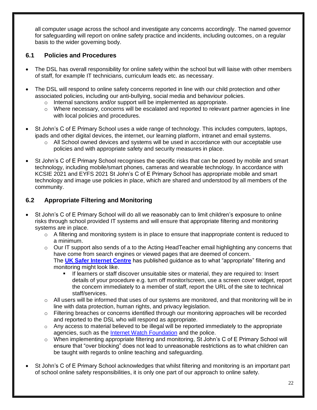all computer usage across the school and investigate any concerns accordingly. The named governor for safeguarding will report on online safety practice and incidents, including outcomes, on a regular basis to the wider governing body.

# **6.1 Policies and Procedures**

- The DSL has overall responsibility for online safety within the school but will liaise with other members of staff, for example IT technicians, curriculum leads etc. as necessary.
- The DSL will respond to online safety concerns reported in line with our child protection and other associated policies, including our anti-bullying, social media and behaviour policies.
	- o Internal sanctions and/or support will be implemented as appropriate.
	- $\circ$  Where necessary, concerns will be escalated and reported to relevant partner agencies in line with local policies and procedures.
- St John's C of E Primary School uses a wide range of technology. This includes computers, laptops, ipads and other digital devices, the internet, our learning platform, intranet and email systems.
	- $\circ$  All School owned devices and systems will be used in accordance with our acceptable use policies and with appropriate safety and security measures in place.
- St John's C of E Primary School recognises the specific risks that can be posed by mobile and smart technology, including mobile/smart phones, cameras and wearable technology. In accordance with KCSIE 2021 and EYFS 2021 St John's C of E Primary School has appropriate mobile and smart technology and image use policies in place, which are shared and understood by all members of the community.

# **6.2 Appropriate Filtering and Monitoring**

- St John's C of E Primary School will do all we reasonably can to limit children's exposure to online risks through school provided IT systems and will ensure that appropriate filtering and monitoring systems are in place.
	- $\circ$  A filtering and monitoring system is in place to ensure that inappropriate content is reduced to a minimum.
	- o Our IT support also sends of a to the Acting HeadTeacher email highlighting any concerns that have come from search engines or viewed pages that are deemed of concern. The **[UK Safer Internet Centre](http://www.saferinternet.org.uk/appropriate-filtering-and-monitoring)** has published guidance as to what "appropriate" filtering and monitoring might look like.
		- If learners or staff discover unsuitable sites or material, they are required to: Insert details of your procedure e.g. turn off monitor/screen, use a screen cover widget, report the concern immediately to a member of staff, report the URL of the site to technical staff/services.
	- o All users will be informed that uses of our systems are monitored, and that monitoring will be in line with data protection, human rights, and privacy legislation.
	- $\circ$  Filtering breaches or concerns identified through our monitoring approaches will be recorded and reported to the DSL who will respond as appropriate.
	- $\circ$  Any access to material believed to be illegal will be reported immediately to the appropriate agencies, such as the [Internet Watch Foundation](https://www.iwf.org.uk/) and the police.
	- $\circ$  When implementing appropriate filtering and monitoring, St John's C of E Primary School will ensure that "over blocking" does not lead to unreasonable restrictions as to what children can be taught with regards to online teaching and safeguarding.
- St John's C of E Primary School acknowledges that whilst filtering and monitoring is an important part of school online safety responsibilities, it is only one part of our approach to online safety.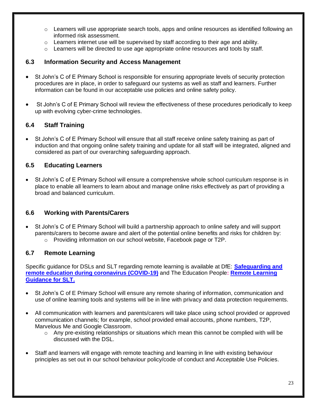- $\circ$  Learners will use appropriate search tools, apps and online resources as identified following an informed risk assessment.
- $\circ$  Learners internet use will be supervised by staff according to their age and ability.
- o Learners will be directed to use age appropriate online resources and tools by staff.

#### **6.3 Information Security and Access Management**

- St John's C of E Primary School is responsible for ensuring appropriate levels of security protection procedures are in place, in order to safeguard our systems as well as staff and learners. Further information can be found in our acceptable use policies and online safety policy.
- St John's C of E Primary School will review the effectiveness of these procedures periodically to keep up with evolving cyber-crime technologies.

## **6.4 Staff Training**

 St John's C of E Primary School will ensure that all staff receive online safety training as part of induction and that ongoing online safety training and update for all staff will be integrated, aligned and considered as part of our overarching safeguarding approach.

### **6.5 Educating Learners**

 St John's C of E Primary School will ensure a comprehensive whole school curriculum response is in place to enable all learners to learn about and manage online risks effectively as part of providing a broad and balanced curriculum.

#### **6.6 Working with Parents/Carers**

 St John's C of E Primary School will build a partnership approach to online safety and will support parents/carers to become aware and alert of the potential online benefits and risks for children by: o Providing information on our school website, Facebook page or T2P.

#### **6.7 Remote Learning**

Specific guidance for DSLs and SLT regarding remote learning is available at DfE: **[Safeguarding and](https://www.gov.uk/guidance/safeguarding-and-remote-education-during-coronavirus-covid-19)  [remote education during coronavirus \(COVID-19\)](https://www.gov.uk/guidance/safeguarding-and-remote-education-during-coronavirus-covid-19)** and The Education People**: [Remote Learning](https://www.theeducationpeople.org/blog/safer-remote-learning-during-covid-19-information-for-school-leaders-and-dsls/)  [Guidance for SLT.](https://www.theeducationpeople.org/blog/safer-remote-learning-during-covid-19-information-for-school-leaders-and-dsls/)**

- St John's C of E Primary School will ensure any remote sharing of information, communication and use of online learning tools and systems will be in line with privacy and data protection requirements.
- All communication with learners and parents/carers will take place using school provided or approved communication channels; for example, school provided email accounts, phone numbers, T2P, Marvelous Me and Google Classroom.
	- o Any pre-existing relationships or situations which mean this cannot be complied with will be discussed with the DSL.
- Staff and learners will engage with remote teaching and learning in line with existing behaviour principles as set out in our school behaviour policy/code of conduct and Acceptable Use Policies.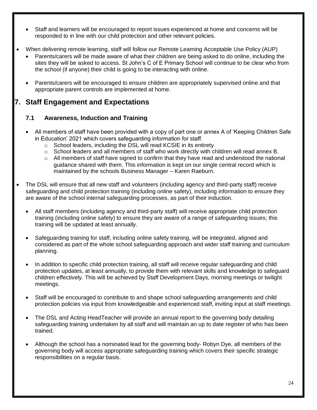- Staff and learners will be encouraged to report issues experienced at home and concerns will be responded to in line with our child protection and other relevant policies.
- When delivering remote learning, staff will follow our Remote Learning Acceptable Use Policy (AUP)
	- Parents/carers will be made aware of what their children are being asked to do online, including the sites they will be asked to access. St John's C of E Primary School will continue to be clear who from the school (if anyone) their child is going to be interacting with online.
	- Parents/carers will be encouraged to ensure children are appropriately supervised online and that appropriate parent controls are implemented at home.

# **7. Staff Engagement and Expectations**

# **7.1 Awareness, Induction and Training**

- All members of staff have been provided with a copy of part one or annex A of 'Keeping Children Safe in Education' 2021 which covers safeguarding information for staff.
	- o School leaders, including the DSL will read KCSIE in its entirety.
	- $\circ$  School leaders and all members of staff who work directly with children will read annex B.
	- $\circ$  All members of staff have signed to confirm that they have read and understood the national guidance shared with them. This information is kept on our single central record which is maintained by the schools Business Manager – Karen Raeburn*.*
- The DSL will ensure that all new staff and volunteers (including agency and third-party staff) receive safeguarding and child protection training (including online safety), including information to ensure they are aware of the school internal safeguarding processes, as part of their induction.
	- All staff members (including agency and third-party staff) will receive appropriate child protection training (including online safety) to ensure they are aware of a range of safeguarding issues; this training will be updated at least annually.
	- Safeguarding training for staff, including online safety training, will be integrated, aligned and considered as part of the whole school safeguarding approach and wider staff training and curriculum planning.
	- In addition to specific child protection training, all staff will receive regular safeguarding and child protection updates, at least annually, to provide them with relevant skills and knowledge to safeguard children effectively. This will be achieved by Staff Development Days, morning meetings or twilight meetings.
	- Staff will be encouraged to contribute to and shape school safeguarding arrangements and child protection policies via input from knowledgeable and experienced staff, inviting input at staff meetings.
	- The DSL and Acting HeadTeacher will provide an annual report to the governing body detailing safeguarding training undertaken by all staff and will maintain an up to date register of who has been trained.
	- Although the school has a nominated lead for the governing body- Robyn Dye, all members of the governing body will access appropriate safeguarding training which covers their specific strategic responsibilities on a regular basis.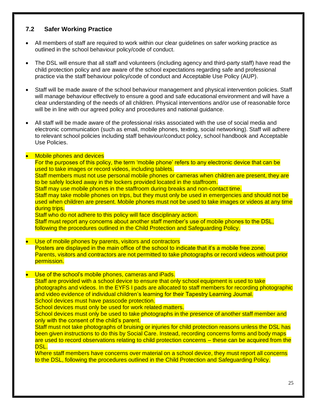## **7.2 Safer Working Practice**

- All members of staff are required to work within our clear guidelines on safer working practice as outlined in the school behaviour policy/code of conduct.
- The DSL will ensure that all staff and volunteers (including agency and third-party staff) have read the child protection policy and are aware of the school expectations regarding safe and professional practice via the staff behaviour policy/code of conduct and Acceptable Use Policy (AUP).
- Staff will be made aware of the school behaviour management and physical intervention policies. Staff will manage behaviour effectively to ensure a good and safe educational environment and will have a clear understanding of the needs of all children. Physical interventions and/or use of reasonable force will be in line with our agreed policy and procedures and national guidance.
- All staff will be made aware of the professional risks associated with the use of social media and electronic communication (such as email, mobile phones, texting, social networking). Staff will adhere to relevant school policies including staff behaviour/conduct policy, school handbook and Acceptable Use Policies.

#### **Mobile phones and devices**

For the purposes of this policy, the term 'mobile phone' refers to any electronic device that can be used to take images or record videos, including tablets.

Staff members must not use personal mobile phones or cameras when children are present, they are to be safely locked away in the lockers provided located in the staffroom.

Staff may use mobile phones in the staffroom during breaks and non-contact time.

Staff may take mobile phones on trips, but they must only be used in emergencies and should not be used when children are present. Mobile phones must not be used to take images or videos at any time during trips.

Staff who do not adhere to this policy will face disciplinary action.

Staff must report any concerns about another staff member's use of mobile phones to the DSL, following the procedures outlined in the Child Protection and Safeguarding Policy.

- Use of mobile phones by parents, visitors and contractors Posters are displayed in the main office of the school to indicate that it's a mobile free zone. Parents, visitors and contractors are not permitted to take photographs or record videos without prior permission.
- Use of the school's mobile phones, cameras and iPads.

Staff are provided with a school device to ensure that only school equipment is used to take photographs and videos. In the EYFS I pads are allocated to staff members for recording photographic and video evidence of individual children's learning for their Tapestry Learning Journal. School devices must have passcode protection.

School devices must only be used for work related matters.

School devices must only be used to take photographs in the presence of another staff member and only with the consent of the child's parent.

Staff must not take photographs of bruising or injuries for child protection reasons unless the DSL has been given instructions to do this by Social Care. Instead, recording concerns forms and body maps are used to record observations relating to child protection concerns – these can be acquired from the DSL.

Where staff members have concerns over material on a school device, they must report all concerns to the DSL, following the procedures outlined in the Child Protection and Safeguarding Policy.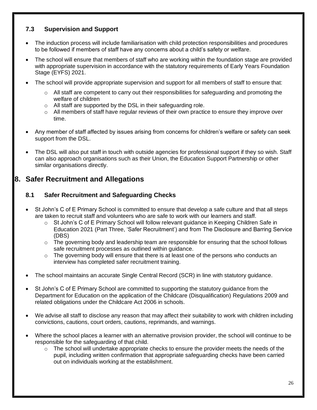# **7.3 Supervision and Support**

- The induction process will include familiarisation with child protection responsibilities and procedures to be followed if members of staff have any concerns about a child's safety or welfare.
- The school will ensure that members of staff who are working within the foundation stage are provided with appropriate supervision in accordance with the statutory requirements of Early Years Foundation Stage (EYFS) 2021.
- The school will provide appropriate supervision and support for all members of staff to ensure that:
	- $\circ$  All staff are competent to carry out their responsibilities for safeguarding and promoting the welfare of children
	- o All staff are supported by the DSL in their safeguarding role.
	- $\circ$  All members of staff have regular reviews of their own practice to ensure they improve over time.
- Any member of staff affected by issues arising from concerns for children's welfare or safety can seek support from the DSL.
- The DSL will also put staff in touch with outside agencies for professional support if they so wish. Staff can also approach organisations such as their Union, the Education Support Partnership or other similar organisations directly.

# **8. Safer Recruitment and Allegations**

# **8.1 Safer Recruitment and Safeguarding Checks**

- St John's C of E Primary School is committed to ensure that develop a safe culture and that all steps are taken to recruit staff and volunteers who are safe to work with our learners and staff.
	- o St John's C of E Primary School will follow relevant guidance in Keeping Children Safe in Education 2021 (Part Three, 'Safer Recruitment') and from The Disclosure and Barring Service (DBS)
	- $\circ$  The governing body and leadership team are responsible for ensuring that the school follows safe recruitment processes as outlined within guidance.
	- $\circ$  The governing body will ensure that there is at least one of the persons who conducts an interview has completed safer recruitment training.
- The school maintains an accurate Single Central Record (SCR) in line with statutory guidance.
- St John's C of E Primary School are committed to supporting the statutory guidance from the Department for Education on the application of the Childcare (Disqualification) Regulations 2009 and related obligations under the Childcare Act 2006 in schools.
- We advise all staff to disclose any reason that may affect their suitability to work with children including convictions, cautions, court orders, cautions, reprimands, and warnings.
- Where the school places a learner with an alternative provision provider, the school will continue to be responsible for the safeguarding of that child.
	- $\circ$  The school will undertake appropriate checks to ensure the provider meets the needs of the pupil, including written confirmation that appropriate safeguarding checks have been carried out on individuals working at the establishment.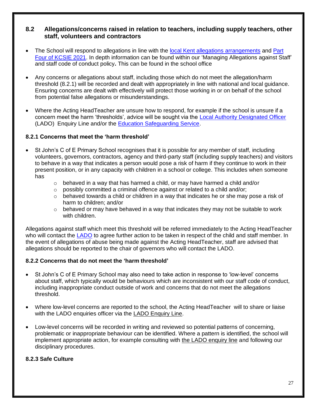### **8.2 Allegations/concerns raised in relation to teachers, including supply teachers, other staff, volunteers and contractors**

- The School will respond to allegations in line with the local Kent allegations [arrangements](https://www.kscmp.org.uk/procedures/local-authority-designated-officer-lado) and Part [Four of KCSIE 2021.](https://www.gov.uk/government/publications/keeping-children-safe-in-education--2) In depth information can be found within our 'Managing Allegations against Staff' and staff code of conduct policy**.** This can be found in the school office
- Any concerns or allegations about staff, including those which do not meet the allegation/harm threshold (8.2.1) will be recorded and dealt with appropriately in line with national and local guidance. Ensuring concerns are dealt with effectively will protect those working in or on behalf of the school from potential false allegations or misunderstandings.
- Where the Acting HeadTeacher are unsure how to respond, for example if the school is unsure if a concern meet the harm 'thresholds', advice will be sought via the [Local Authority Designated Officer](https://www.kscmp.org.uk/procedures/local-authority-designated-officer-lado) (LADO) Enquiry Line and/or the [Education Safeguarding Service.](https://www.theeducationpeople.org/our-expertise/safeguarding/safeguarding-contacts/)

#### **8.2.1 Concerns that meet the 'harm threshold'**

- St John's C of E Primary School recognises that it is possible for any member of staff, including volunteers, governors, contractors, agency and third-party staff (including supply teachers) and visitors to behave in a way that indicates a person would pose a risk of harm if they continue to work in their present position, or in any capacity with children in a school or college. This includes when someone has
	- $\circ$  behaved in a way that has harmed a child, or may have harmed a child and/or
	- o possibly committed a criminal offence against or related to a child and/or;
	- $\circ$  behaved towards a child or children in a way that indicates he or she may pose a risk of harm to children; and/or
	- $\circ$  behaved or may have behaved in a way that indicates they may not be suitable to work with children.

Allegations against staff which meet this threshold will be referred immediately to the Acting HeadTeacher who will contact the [LADO](https://www.kscmp.org.uk/procedures/local-authority-designated-officer-lado) to agree further action to be taken in respect of the child and staff member. In the event of allegations of abuse being made against the Acting HeadTeacher, staff are advised that allegations should be reported to the chair of governors who will contact the LADO.

#### **8.2.2 Concerns that do not meet the 'harm threshold'**

- St John's C of E Primary School may also need to take action in response to 'low-level' concerns about staff, which typically would be behaviours which are inconsistent with our staff code of conduct, including inappropriate conduct outside of work and concerns that do not meet the allegations threshold.
- Where low-level concerns are reported to the school, the Acting HeadTeacher will to share or liaise with the LADO enquiries officer via the [LADO Enquiry Line.](https://eur01.safelinks.protection.outlook.com/?url=https%3A%2F%2Fwww.kscmp.org.uk%2Fprocedures%2Flocal-authority-designated-officer-lado&data=04%7C01%7CAlison.Watling%40kent.gov.uk%7Cefd47327a4fa4b3a972708d950d61f12%7C3253a20dc7354bfea8b73e6ab37f5f90%7C0%7C0%7C637629703166084747%7CUnknown%7CTWFpbGZsb3d8eyJWIjoiMC4wLjAwMDAiLCJQIjoiV2luMzIiLCJBTiI6Ik1haWwiLCJXVCI6Mn0%3D%7C1000&sdata=gh4qmYZ5N3khjaixDrEVQntTOJ74wGAlZxO%2FQDEudf0%3D&reserved=0)
- Low-level concerns will be recorded in writing and reviewed so potential patterns of concerning, problematic or inappropriate behaviour can be identified. Where a pattern is identified, the school will implement appropriate action, for example consulting with the LADO [enquiry line](https://www.kscmp.org.uk/procedures/local-authority-designated-officer-lado) and following our disciplinary procedures.

#### **8.2.3 Safe Culture**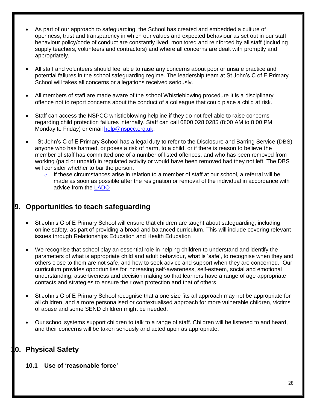- As part of our approach to safeguarding, the School has created and embedded a culture of openness, trust and transparency in which our values and expected behaviour as set out in our staff behaviour policy/code of conduct are constantly lived, monitored and reinforced by all staff (including supply teachers, volunteers and contractors) and where all concerns are dealt with promptly and appropriately.
- All staff and volunteers should feel able to raise any concerns about poor or unsafe practice and potential failures in the school safeguarding regime. The leadership team at St John's C of E Primary School will takes all concerns or allegations received seriously.
- All members of staff are made aware of the school Whistleblowing procedure It is a disciplinary offence not to report concerns about the conduct of a colleague that could place a child at risk.
- Staff can access the NSPCC whistleblowing helpline if they do not feel able to raise concerns regarding child protection failures internally. Staff can call 0800 028 0285 (8:00 AM to 8:00 PM Monday to Friday) or email [help@nspcc.org.uk.](mailto:help@nspcc.org.uk)
- St John's C of E Primary School has a legal duty to refer to the Disclosure and Barring Service (DBS) anyone who has harmed, or poses a risk of harm, to a child, or if there is reason to believe the member of staff has committed one of a number of listed offences, and who has been removed from working (paid or unpaid) in regulated activity or would have been removed had they not left. The DBS will consider whether to bar the person.
	- $\circ$  If these circumstances arise in relation to a member of staff at our school, a referral will be made as soon as possible after the resignation or removal of the individual in accordance with advice from the [LADO](https://www.kscmp.org.uk/procedures/local-authority-designated-officer-lado)

# **9. Opportunities to teach safeguarding**

- St John's C of E Primary School will ensure that children are taught about safeguarding, including online safety, as part of providing a broad and balanced curriculum. This will include covering relevant issues through Relationships Education and Health Education
- We recognise that school play an essential role in helping children to understand and identify the parameters of what is appropriate child and adult behaviour, what is 'safe', to recognise when they and others close to them are not safe, and how to seek advice and support when they are concerned. Our curriculum provides opportunities for increasing self-awareness, self-esteem, social and emotional understanding, assertiveness and decision making so that learners have a range of age appropriate contacts and strategies to ensure their own protection and that of others.
- St John's C of E Primary School recognise that a one size fits all approach may not be appropriate for all children, and a more personalised or contextualised approach for more vulnerable children, victims of abuse and some SEND children might be needed.
- Our school systems support children to talk to a range of staff. Children will be listened to and heard, and their concerns will be taken seriously and acted upon as appropriate.

# **10. Physical Safety**

#### **10.1 Use of 'reasonable force'**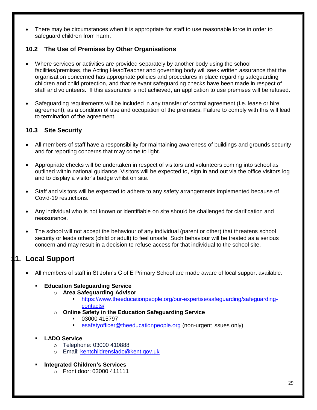There may be circumstances when it is appropriate for staff to use reasonable force in order to safeguard children from harm.

# **10.2 The Use of Premises by Other Organisations**

- Where services or activities are provided separately by another body using the school facilities/premises, the Acting HeadTeacher and governing body will seek written assurance that the organisation concerned has appropriate policies and procedures in place regarding safeguarding children and child protection, and that relevant safeguarding checks have been made in respect of staff and volunteers. If this assurance is not achieved, an application to use premises will be refused.
- Safeguarding requirements will be included in any transfer of control agreement (i.e. lease or hire agreement), as a condition of use and occupation of the premises. Failure to comply with this will lead to termination of the agreement.

# **10.3 Site Security**

- All members of staff have a responsibility for maintaining awareness of buildings and grounds security and for reporting concerns that may come to light.
- Appropriate checks will be undertaken in respect of visitors and volunteers coming into school as outlined within national guidance. Visitors will be expected to, sign in and out via the office visitors log and to display a visitor's badge whilst on site.
- Staff and visitors will be expected to adhere to any safety arrangements implemented because of Covid-19 restrictions.
- Any individual who is not known or identifiable on site should be challenged for clarification and reassurance.
- The school will not accept the behaviour of any individual (parent or other) that threatens school security or leads others (child or adult) to feel unsafe. Such behaviour will be treated as a serious concern and may result in a decision to refuse access for that individual to the school site.

# **11. Local Support**

All members of staff in St John's C of E Primary School are made aware of local support available.

#### **Education Safeguarding Service**

- o **Area Safeguarding Advisor**
	- [https://www.theeducationpeople.org/our-expertise/safeguarding/safeguarding](https://www.theeducationpeople.org/our-expertise/safeguarding/safeguarding-contacts/)[contacts/](https://www.theeducationpeople.org/our-expertise/safeguarding/safeguarding-contacts/)
- o **Online Safety in the Education Safeguarding Service**
	- 03000 415797
	- [esafetyofficer@theeducationpeople.org](mailto:esafetyofficer@theeducationpeople.org) (non-urgent issues only)
- **LADO Service**
	- o Telephone: 03000 410888
	- o Email: [kentchildrenslado@kent.gov.uk](mailto:kentchildrenslado@kent.gov.uk)
- **Integrated Children's Services** 
	- o Front door: 03000 411111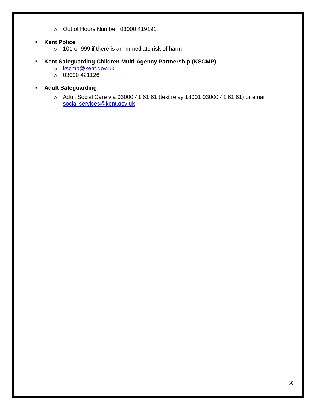- o Out of Hours Number: 03000 419191
- **Kent Police** 
	- o 101 or 999 if there is an immediate risk of harm
- **Kent Safeguarding Children Multi-Agency Partnership (KSCMP)**
	- o [kscmp@kent.gov.uk](mailto:kscmp@kent.gov.uk)
	- $\circ$  03000 421126
- **Adult Safeguarding**
	- o Adult Social Care via 03000 41 61 61 (text relay 18001 03000 41 61 61) or email [social.services@kent.gov.uk](mailto:social.services@kent.gov.uk)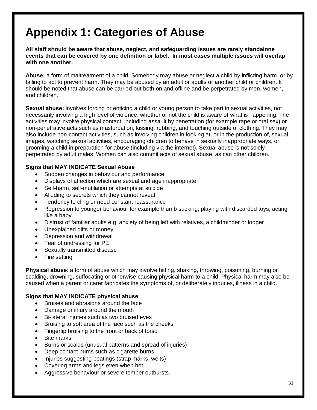# **Appendix 1: Categories of Abuse**

**All staff should be aware that abuse, neglect, and safeguarding issues are rarely standalone events that can be covered by one definition or label. In most cases multiple issues will overlap with one another.**

**Abuse:** a form of maltreatment of a child. Somebody may abuse or neglect a child by inflicting harm, or by failing to act to prevent harm. They may be abused by an adult or adults or another child or children. It should be noted that abuse can be carried out both on and offline and be perpetrated by men, women, and children.

**Sexual abuse:** involves forcing or enticing a child or young person to take part in sexual activities, not necessarily involving a high level of violence, whether or not the child is aware of what is happening. The activities may involve physical contact, including assault by penetration (for example rape or oral sex) or non-penetrative acts such as masturbation, kissing, rubbing, and touching outside of clothing. They may also include non-contact activities, such as involving children in looking at, or in the production of, sexual images, watching sexual activities, encouraging children to behave in sexually inappropriate ways, or grooming a child in preparation for abuse (including via the internet). Sexual abuse is not solely perpetrated by adult males. Women can also commit acts of sexual abuse, as can other children.

#### **Signs that MAY INDICATE Sexual Abuse**

- Sudden changes in behaviour and performance
- Displays of affection which are sexual and age inappropriate
- Self-harm, self-mutilation or attempts at suicide
- Alluding to secrets which they cannot reveal
- Tendency to cling or need constant reassurance
- Regression to younger behaviour for example thumb sucking, playing with discarded toys, acting like a baby
- Distrust of familiar adults e.g. anxiety of being left with relatives, a childminder or lodger
- Unexplained gifts or money
- Depression and withdrawal
- Fear of undressing for PE
- Sexually transmitted disease
- Fire setting

**Physical abuse**: a form of abuse which may involve hitting, shaking, throwing, poisoning, burning or scalding, drowning, suffocating or otherwise causing physical harm to a child. Physical harm may also be caused when a parent or carer fabricates the symptoms of, or deliberately induces, illness in a child.

#### **Signs that MAY INDICATE physical abuse**

- Bruises and abrasions around the face
- Damage or injury around the mouth
- Bi-lateral injuries such as two bruised eyes
- Bruising to soft area of the face such as the cheeks
- Fingertip bruising to the front or back of torso
- Bite marks
- Burns or scalds (unusual patterns and spread of injuries)
- Deep contact burns such as cigarette burns
- Injuries suggesting beatings (strap marks, welts)
- Covering arms and legs even when hot
- Aggressive behaviour or severe temper outbursts.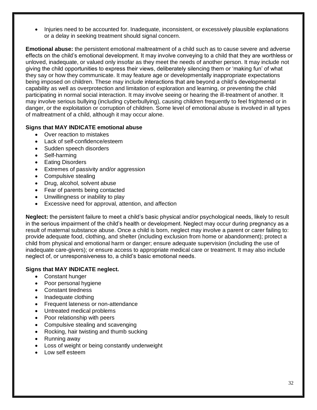Injuries need to be accounted for. Inadequate, inconsistent, or excessively plausible explanations or a delay in seeking treatment should signal concern.

**Emotional abuse:** the persistent emotional maltreatment of a child such as to cause severe and adverse effects on the child's emotional development. It may involve conveying to a child that they are worthless or unloved, inadequate, or valued only insofar as they meet the needs of another person. It may include not giving the child opportunities to express their views, deliberately silencing them or 'making fun' of what they say or how they communicate. It may feature age or developmentally inappropriate expectations being imposed on children. These may include interactions that are beyond a child's developmental capability as well as overprotection and limitation of exploration and learning, or preventing the child participating in normal social interaction. It may involve seeing or hearing the ill-treatment of another. It may involve serious bullying (including cyberbullying), causing children frequently to feel frightened or in danger, or the exploitation or corruption of children. Some level of emotional abuse is involved in all types of maltreatment of a child, although it may occur alone.

#### **Signs that MAY INDICATE emotional abuse**

- Over reaction to mistakes
- Lack of self-confidence/esteem
- Sudden speech disorders
- Self-harming
- Eating Disorders
- Extremes of passivity and/or aggression
- Compulsive stealing
- Drug, alcohol, solvent abuse
- Fear of parents being contacted
- Unwillingness or inability to play
- Excessive need for approval, attention, and affection

**Neglect:** the persistent failure to meet a child's basic physical and/or psychological needs, likely to result in the serious impairment of the child's health or development. Neglect may occur during pregnancy as a result of maternal substance abuse. Once a child is born, neglect may involve a parent or carer failing to: provide adequate food, clothing, and shelter (including exclusion from home or abandonment); protect a child from physical and emotional harm or danger; ensure adequate supervision (including the use of inadequate care-givers); or ensure access to appropriate medical care or treatment. It may also include neglect of, or unresponsiveness to, a child's basic emotional needs.

#### **Signs that MAY INDICATE neglect.**

- Constant hunger
- Poor personal hygiene
- Constant tiredness
- Inadequate clothing
- Frequent lateness or non-attendance
- Untreated medical problems
- Poor relationship with peers
- Compulsive stealing and scavenging
- Rocking, hair twisting and thumb sucking
- Running away
- Loss of weight or being constantly underweight
- Low self esteem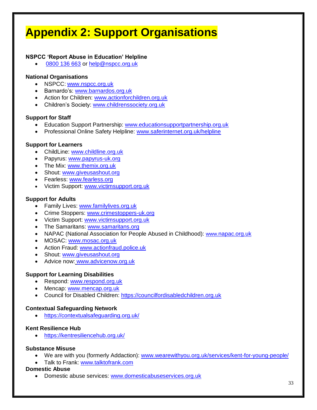# **Appendix 2: Support Organisations**

### **NSPCC 'Report Abuse in Education' Helpline**

[0800 136 663](tel:0800%20136%20663) or [help@nspcc.org.uk](mailto:help@nspcc.org.uk)

#### **National Organisations**

- NSPCC: [www.nspcc.org.uk](http://www.nspcc.org.uk/)
- Barnardo's: [www.barnardos.org.uk](http://www.barnardos.org.uk/)
- Action for Children: [www.actionforchildren.org.uk](http://www.actionforchildren.org.uk/)
- Children's Society: [www.childrenssociety.org.uk](http://www.childrenssociety.org.uk/)

#### **Support for Staff**

- Education Support Partnership: [www.educationsupportpartnership.org.uk](http://www.educationsupportpartnership.org.uk/)
- Professional Online Safety Helpline: [www.saferinternet.org.uk/helpline](http://www.saferinternet.org.uk/helpline)

#### **Support for Learners**

- ChildLine: [www.childline.org.uk](http://www.childline.org.uk/)
- Papyrus: [www.papyrus-uk.org](http://www.papyrus-uk.org/)
- The Mix: [www.themix.org.uk](http://www.themix.org.uk/)
- Shout: [www.giveusashout.org](http://www.giveusashout.org/)
- **Fearless: [www.fearless.org](http://www.fearless.org/)**
- Victim Support: [www.victimsupport.org.uk](http://www.victimsupport.org.uk/)

#### **Support for Adults**

- Family Lives: [www.familylives.org.uk](http://www.familylives.org.uk/)
- Crime Stoppers: [www.crimestoppers-uk.org](http://www.crimestoppers-uk.org/)
- Victim Support: [www.victimsupport.org.uk](http://www.victimsupport.org.uk/)
- The Samaritans: [www.samaritans.org](http://www.samaritans.org/)
- NAPAC (National Association for People Abused in Childhood): www.napac.org.uk
- MOSAC: [www.mosac.org.uk](http://www.mosac.org.uk/)
- Action Fraud: [www.actionfraud.police.uk](http://www.actionfraud.police.uk/)
- Shout: [www.giveusashout.org](http://www.giveusashout.org/)
- Advice now: www.advicenow.org.uk

#### **Support for Learning Disabilities**

- Respond: [www.respond.org.uk](http://www.respond.org.uk/)
- Mencap: [www.mencap.org.uk](http://www.mencap.org.uk/)
- Council for Disabled Children: [https://councilfordisabledchildren.org.uk](https://councilfordisabledchildren.org.uk/)

#### **Contextual Safeguarding Network**

<https://contextualsafeguarding.org.uk/>

#### **Kent Resilience Hub**

<https://kentresiliencehub.org.uk/>

#### **Substance Misuse**

- We are with you (formerly Addaction): [www.wearewithyou.org.uk/services/kent-for-young-people/](http://www.wearewithyou.org.uk/services/kent-for-young-people/)
- Talk to Frank: [www.talktofrank.com](http://www.talktofrank.com/)

#### **Domestic Abuse**

• Domestic abuse services: [www.domesticabuseservices.org.uk](http://www.domesticabuseservices.org.uk/)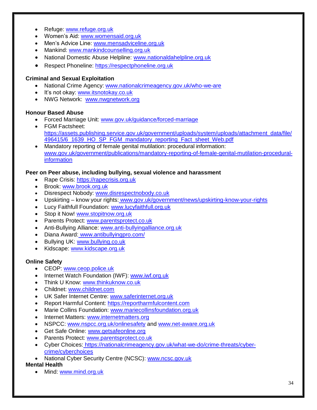- Refuge: [www.refuge.org.uk](http://www.refuge.org.uk/)
- Women's Aid: [www.womensaid.org.uk](http://www.womensaid.org.uk/)
- Men's Advice Line: [www.mensadviceline.org.uk](http://www.mensadviceline.org.uk/)
- Mankind: [www.mankindcounselling.org.uk](http://www.mankindcounselling.org.uk/)
- National Domestic Abuse Helpline: [www.nationaldahelpline.org.uk](http://www.nationaldahelpline.org.uk/)
- Respect Phoneline: [https://respectphoneline.org.uk](https://respectphoneline.org.uk/)

#### **Criminal and Sexual Exploitation**

- National Crime Agency: [www.nationalcrimeagency.gov.uk/who-we-are](http://www.nationalcrimeagency.gov.uk/who-we-are)
- It's not okay: [www.itsnotokay.co.uk](http://www.itsnotokay.co.uk/)
- NWG Network: [www.nwgnetwork.org](http://www.nwgnetwork.org/)

#### **Honour Based Abuse**

- Forced Marriage Unit: [www.gov.uk/guidance/forced-marriage](http://www.gov.uk/guidance/forced-marriage)
- FGM Factsheet: [https://assets.publishing.service.gov.uk/government/uploads/system/uploads/attachment\\_data/file/](https://assets.publishing.service.gov.uk/government/uploads/system/uploads/attachment_data/file/496415/6_1639_HO_SP_FGM_mandatory_reporting_Fact_sheet_Web.pdf) [496415/6\\_1639\\_HO\\_SP\\_FGM\\_mandatory\\_reporting\\_Fact\\_sheet\\_Web.pdf](https://assets.publishing.service.gov.uk/government/uploads/system/uploads/attachment_data/file/496415/6_1639_HO_SP_FGM_mandatory_reporting_Fact_sheet_Web.pdf)
- Mandatory reporting of female genital mutilation: procedural information: [www.gov.uk/government/publications/mandatory-reporting-of-female-genital-mutilation-procedural](http://www.gov.uk/government/publications/mandatory-reporting-of-female-genital-mutilation-procedural-information)[information](http://www.gov.uk/government/publications/mandatory-reporting-of-female-genital-mutilation-procedural-information)

#### **Peer on Peer abuse, including bullying, sexual violence and harassment**

- Rape Crisis: [https://rapecrisis.org.uk](https://rapecrisis.org.uk/)
- Brook: [www.brook.org.uk](http://www.brook.org.uk/)
- Disrespect Nobody: [www.disrespectnobody.co.uk](http://www.disrespectnobody.co.uk/)
- Upskirting know your rights: [www.gov.uk/government/news/upskirting-know-your-rights](http://www.gov.uk/government/news/upskirting-know-your-rights)
- Lucy Faithfull Foundation: [www.lucyfaithfull.org.uk](http://www.lucyfaithfull.org.uk/)
- Stop it Now! [www.stopitnow.org.uk](http://www.stopitnow.org.uk/)
- Parents Protect: [www.parentsprotect.co.uk](http://www.parentsprotect.co.uk/)
- Anti-Bullying Alliance: [www.anti-bullyingalliance.org.uk](http://www.anti-bullyingalliance.org.uk/)
- Diana Award: [www.antibullyingpro.com/](http://www.antibullyingpro.com/)
- Bullying UK: [www.bullying.co.uk](http://www.bullying.co.uk/)
- Kidscape: [www.kidscape.org.uk](http://www.kidscape.org.uk/)

#### **Online Safety**

- CEOP: [www.ceop.police.uk](http://www.ceop.police.uk/)
- Internet Watch Foundation (IWF): [www.iwf.org.uk](http://www.iwf.org.uk/)
- Think U Know: [www.thinkuknow.co.uk](http://www.thinkuknow.co.uk/)
- Childnet: [www.childnet.com](http://www.childnet.com/)
- UK Safer Internet Centre: [www.saferinternet.org.uk](http://www.saferinternet.org.uk/)
- Report Harmful Content: [https://reportharmfulcontent.com](https://reportharmfulcontent.com/)
- Marie Collins Foundation: [www.mariecollinsfoundation.org.uk](http://www.mariecollinsfoundation.org.uk/)
- Internet Matters: [www.internetmatters.org](http://www.internetmatters.org/)
- NSPCC: [www.nspcc.org.uk/onlinesafety](http://www.nspcc.org.uk/onlinesafety) and [www.net-aware.org.uk](http://www.net-aware.org.uk/)
- Get Safe Online: [www.getsafeonline.org](https://www.getsafeonline.org/)
- Parents Protect: [www.parentsprotect.co.uk](http://www.parentsprotect.co.uk/)
- Cyber Choices: [https://nationalcrimeagency.gov.uk/what-we-do/crime-threats/cyber](https://nationalcrimeagency.gov.uk/what-we-do/crime-threats/cyber-crime/cyberchoices)[crime/cyberchoices](https://nationalcrimeagency.gov.uk/what-we-do/crime-threats/cyber-crime/cyberchoices)
- National Cyber Security Centre (NCSC): [www.ncsc.gov.uk](http://www.ncsc.gov.uk/)

#### **Mental Health**

• Mind: [www.mind.org.uk](http://www.mind.org.uk/)